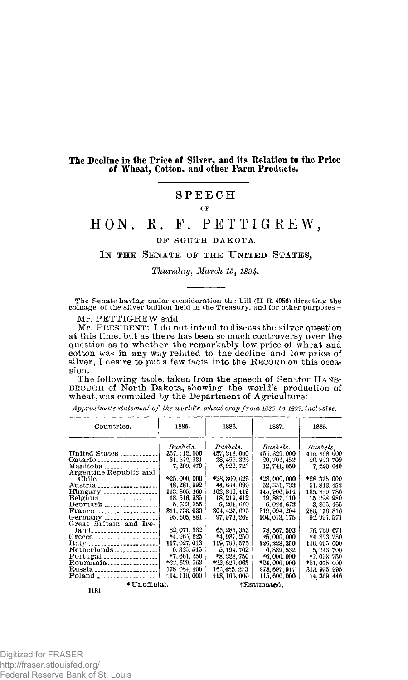### The Decline in the Price of Silver, and its Relation to the Price **of Wheat, Cotton, and othe r Far m Products.**

## **SPEEC H**

OP

# **HON. E. F. PETTIGREW ,**

#### **OF SOUTH DAKOTA.**

#### **IN THE SENATE OP THE UNITED STATES,**

*Thursday*, *March 15,189* 

**The Senate having under consideration the bill (H R. 4956) directing the coinage of the silver bullion held in the Treasury, and for other purposes-**

Mr. PETTIGREW said:

Mr. PRESIDENT: I do not intend to discuss the silver question at this time, but as there has been so much controversy over the question as to whether the remarkably low price of wheat and cotton was in any way related to the decline and low price of silver, I desire to put a few facts into the RECORD on this occasion .

The following table taken from the speech of Senator HANS-BROUGH of North Dakota, showing the world's production of wheat, was compiled by the Department of Agriculture:

*Approximate statement of the world's wheat crop from 1885 to 1892, inclusive.* 

| Countries.                                         | 1885.                         | 1886.                         | 1887.                        | 1888.                       |
|----------------------------------------------------|-------------------------------|-------------------------------|------------------------------|-----------------------------|
|                                                    | Bushels.                      | Bushels.                      | Bushels.                     | Bushels,                    |
| United States                                      | 357, 112, 000<br>31, 572, 931 | 457, 218, 000<br>28, 459, 322 | 456, 329, 000                | 415, 868, 000               |
| Ontario <b></b><br>Manitoba                        | 7, 209, 479                   | 6, 922, 723                   | 20, 705, 452<br>12, 741, 050 | 20, 923, 709<br>7, 220, 640 |
| Argentine Republic and                             |                               |                               |                              |                             |
| Chile                                              | *25,000,000                   | *28, 800, 625                 | *28,000,000                  | *28, 375, 000               |
| Austria                                            | 48, 281, 992                  | 44.644.090                    | 52, 351, 733                 | 51, 843, 452                |
| $\text{Hungary}$                                   | 113, 805, 460                 | 102, 846, 419                 | 145, 906, 514                | 135, 859, 786               |
| Belgium                                            | 18, 516, 935                  | 18, 219, 412                  | 19, 887, 110                 | 15, 298, 980                |
| $Demmark$                                          | 5, 533, 555                   | 5, 201, 640                   | 6.024.672                    | 3, 805, 465                 |
| $\text{France}\dots \dots \dots \dots \dots \dots$ | 311, 733, 033                 | 304, 427, 095                 | 319, 094, 204                | 280, 176, 816               |
| Germany                                            | 95, 505, 881                  | 97, 973, 269                  | 104, 013, 175                | 92, 991, 571                |
| Great Britain and Ire-                             |                               |                               |                              |                             |
| land                                               | 82, 071, 332                  | 65, 285, 353                  | 78, 567, 593                 | 76.760,671                  |
| Greece                                             | $*4,96,625$                   | *4,937,250                    | $*5,000,000$                 | *4.823.750                  |
| Italy !                                            | 117, 027, 013                 | 119, 793, 575                 | 126, 223, 350                | 110, 095, 000               |
| Netherlands                                        | 6, 325, 545                   | 5, 194, 702                   | 6, 889, 532                  | 5, 243, 700                 |
|                                                    | *7,661,250                    | *8, 228, 750                  | $*6,000,000$                 | $*7,093,750$                |
| Roumania                                           | *22, 629, 063                 | *22, 629, 063                 | *24,000,000                  | *51, 075, 000               |
| Russia                                             | 178.084.400                   | 163.455, 273                  | 278.697.917                  | 313, 935, 995               |
| Poland                                             | +14, 110, 000                 | +13, 100, 000                 | $+15,600,000$                | 14.369.446                  |
| * Unofficial.                                      |                               |                               | +Estimated.                  |                             |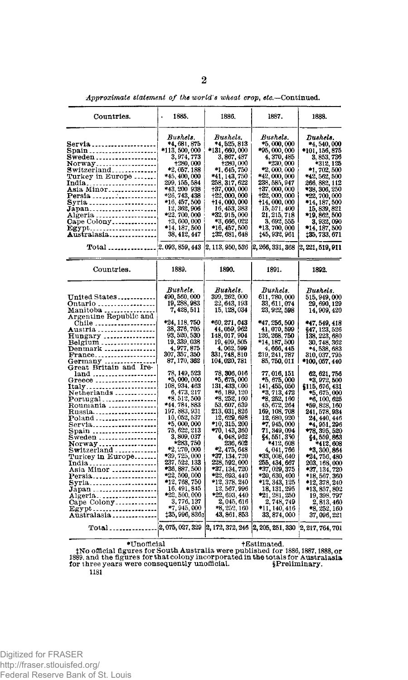| Countries.                                                                                                                                                                                                                                                                                                                                                                                                                                                                   | 1885.<br>٠                                                                                                                                                                                                                                                                                                                                                                                                                                                                                                                                                              | 1886.                                                                                                                                                                                                                                                                                                                                                                                                                                                                                                                                                          | 1887.                                                                                                                                                                                                                                                                                                                                                                                                                                                                                                                                                                                                             | 1888.                                                                                                                                                                                                                                                                                                                                                                                                                                                                                                                                                                 |
|------------------------------------------------------------------------------------------------------------------------------------------------------------------------------------------------------------------------------------------------------------------------------------------------------------------------------------------------------------------------------------------------------------------------------------------------------------------------------|-------------------------------------------------------------------------------------------------------------------------------------------------------------------------------------------------------------------------------------------------------------------------------------------------------------------------------------------------------------------------------------------------------------------------------------------------------------------------------------------------------------------------------------------------------------------------|----------------------------------------------------------------------------------------------------------------------------------------------------------------------------------------------------------------------------------------------------------------------------------------------------------------------------------------------------------------------------------------------------------------------------------------------------------------------------------------------------------------------------------------------------------------|-------------------------------------------------------------------------------------------------------------------------------------------------------------------------------------------------------------------------------------------------------------------------------------------------------------------------------------------------------------------------------------------------------------------------------------------------------------------------------------------------------------------------------------------------------------------------------------------------------------------|-----------------------------------------------------------------------------------------------------------------------------------------------------------------------------------------------------------------------------------------------------------------------------------------------------------------------------------------------------------------------------------------------------------------------------------------------------------------------------------------------------------------------------------------------------------------------|
| Servia <b>.</b><br>Spain <b>.</b><br>Norway<br>Switzerland<br>Turkey in Europe<br>India<br>Asia Minor<br>Persia<br>Syria<br>Japan<br>Algeria<br>Cape Colony<br>Egypt<br>Australasia                                                                                                                                                                                                                                                                                          | Bushels.<br>*4, 681, 875<br>*113, 500, 000<br>3,974,773<br>+280,000<br>*2, 057, 188<br>*45, 400, 000<br>299, 155, 584<br>*43.200 938<br>*26, 743, 438<br>*16, 457, 500<br>12, 362, 906<br>*22, 700, 000<br>+3,600,000<br>*14, 187, 500<br>38, 412, 447                                                                                                                                                                                                                                                                                                                  | Bushels.<br>*4, 525, 813<br>*131, 660, 000<br>3, 867, 487<br>+280,000<br>*1, 645, 750<br>*41, 143, 750<br>258, 317, 622<br>†37,000,000<br>+22,000,000<br>+14,000,000<br>16, 453, 383<br>*32, 915, 000<br>*3, 666, 022<br>*16, 457, 500<br>132, 681, 648                                                                                                                                                                                                                                                                                                        | Bushels.<br>*5,000,000<br>*95, 000, 000<br>4, 370, 485<br>*230, 000<br>*2,000,000<br>*42, 000, 000<br>238, 585, 947<br>137, 000, 000<br>122, 000, 000<br>+14, 000, 000<br>15, 571, 400<br>21, 215, 718<br>3, 692, 555<br>*13, 700, 000<br>145, 932, 961                                                                                                                                                                                                                                                                                                                                                           | Bushels.<br>*4, 540, 000<br>*101, 156, 875<br>3, 853, 736<br>*312, 125<br>*1, 702, 500<br>*42, 562, 500<br>266, 882, 112<br>*38, 306, 250<br>$*22,700,000$<br>*14, 187, 500<br>15, 839, 821<br>*19, 862, 500<br>3, 932, 090<br>14, 187, 500*<br>135, 733, 671                                                                                                                                                                                                                                                                                                         |
| Total                                                                                                                                                                                                                                                                                                                                                                                                                                                                        | 2, 093, 859, 443                                                                                                                                                                                                                                                                                                                                                                                                                                                                                                                                                        | 2, 113, 950, 536                                                                                                                                                                                                                                                                                                                                                                                                                                                                                                                                               | 2, 266, 331, 368                                                                                                                                                                                                                                                                                                                                                                                                                                                                                                                                                                                                  | (2, 221, 519, 911)                                                                                                                                                                                                                                                                                                                                                                                                                                                                                                                                                    |
| Countries.                                                                                                                                                                                                                                                                                                                                                                                                                                                                   | 1889.                                                                                                                                                                                                                                                                                                                                                                                                                                                                                                                                                                   | 1890.                                                                                                                                                                                                                                                                                                                                                                                                                                                                                                                                                          | 1891.                                                                                                                                                                                                                                                                                                                                                                                                                                                                                                                                                                                                             | 1892.                                                                                                                                                                                                                                                                                                                                                                                                                                                                                                                                                                 |
| $United\ States$<br>Ontario<br>Manitoba<br>Argentine Republic and<br><b>A</b> ustria <b>.</b><br>Hungary<br>Belgium<br>Denmark<br>France<br>Germany<br>Great Britain and Ire-<br>land -----------<br>Greece<br>Italy<br>Netherlands<br>$Portugal$<br>Roumania<br>Russia. <b>.</b> .<br>Poland <b>.</b><br>Servia <b></b><br>Spain<br>Sweden<br>Norway<br>Turkey <b>in Eu</b> rope<br>Asia Minor<br>Persia<br>Syria <i></i><br>Algeria<br>Cape Colony<br>Australasia<br>Total | Bushels.<br>490, 560, 000<br>19, 288, 983<br>7, 428, 511<br>*24, 118, 750<br>38, 376, 705<br>93, 520, 530<br>19, 339, 038<br>4, 977, 875<br>307, 357, 350<br>87, 170, 362<br>78, 149, 523<br>*5,000,000<br>108, 934, 463<br>6, 473, 217<br>*8, 512, 500<br>*44.784.883<br>197, 883, 931<br>10,052,537<br>*5,000,000<br>75, 622, 213<br>3, 809, 037<br>*283,750<br>*2.270,000<br>*39, 725, 000<br>237, 522, 133<br>*36, 887, 500<br>*22, 500, 000<br>*12, 768, 750<br>16, 491, 845<br>*22, 500, 000<br>3, 776, 137<br>*7, 945, 000<br>135, 996, 836n<br>2, 075, 027, 329 | Bushels.<br>399, 262, 000<br>22, 643, 193<br>15, 128, 034<br>*60, 271, 043<br>44, 059, 962<br>148, 017, 904<br>19, 409, 505<br>4, 062, 599<br>331, 748, 810<br>104, 020, 781<br>78, 306, 016<br>*5, 675, 000<br>131, 433, 000<br>*6, 189, 120<br>*8, 252, 160<br>53, 607, 639<br>213, 031, 826<br>12, 629, 698<br>*10, 315, 200<br>*70.143.360<br>4, 048, 962<br>236, 602<br>*2, 475, 648<br>*37, 134, 720<br>228, 592, 000<br>*37, 134, 720<br>*22, 693, 440<br>*12, 378, 240<br>12, 567, 996<br>*22, 693, 440<br>2, 045, 616<br>*8, 252, 160<br>43, 861, 853 | Bushels.<br>611, 780, 000<br>33, 611, 074<br>23, 922, 598<br>*47, 256, 500<br>41, 070, 599<br>126, 268, 750<br>*14, 187, 500<br>4, 666, 445<br>219, 241, 787<br>85, 750, 011<br>77, 016, 151<br>*5, 675, 000<br>141, 455, 050<br>*3, 713, 472<br>*8, 252, 160<br>45, 672, 264<br>169, 108, 708<br>12, 680, 920<br>$*7,945,000$<br>71, 349, 094<br>$$4,551,350$ *412, 608<br>4, 041, 766<br>*33,008,640<br>255, 434, 667<br>*37, 029, 375<br>*20, 630, 400<br>*12, 343, 125<br>18, 131, 295<br>$*21, 281, 250$<br>2,748,749<br>*11, 140, 416<br>33, 874, 000<br>2, 172, 372, 246 2, 205, 251, 330 2, 217, 764, 701 | Bushels.<br>515, 949, 000<br>29, 690, 129<br>14, 909, 420<br>*47, 549, 418<br>§47, 123, 526<br>138, 223, 680<br>30, 748, 362<br>*4, 538, 683<br>310, 037, 795<br>*100.057.440<br>62, 621, 756<br>*3, 972, 500<br>\$115, 676, 431<br>*5, 675, 000<br>*6, 100, 625<br>*59, 828, 160<br>241, 578, 934<br>24, 440, 446<br>*4, 951, 296<br>*78. 395. 520<br>\$4, 559, 863<br>*412,608<br>*3, 300, 864<br>*24, 756, 480<br>203, 168, 000<br>*37, 134, 720<br>*18, 567, 360<br>*12, 378, 240<br>*13, 857, 802<br>19, 398, 797<br>2, 813, 460<br>*8. 252, 160<br>37, 096, 221 |
|                                                                                                                                                                                                                                                                                                                                                                                                                                                                              |                                                                                                                                                                                                                                                                                                                                                                                                                                                                                                                                                                         |                                                                                                                                                                                                                                                                                                                                                                                                                                                                                                                                                                |                                                                                                                                                                                                                                                                                                                                                                                                                                                                                                                                                                                                                   |                                                                                                                                                                                                                                                                                                                                                                                                                                                                                                                                                                       |
|                                                                                                                                                                                                                                                                                                                                                                                                                                                                              |                                                                                                                                                                                                                                                                                                                                                                                                                                                                                                                                                                         |                                                                                                                                                                                                                                                                                                                                                                                                                                                                                                                                                                |                                                                                                                                                                                                                                                                                                                                                                                                                                                                                                                                                                                                                   |                                                                                                                                                                                                                                                                                                                                                                                                                                                                                                                                                                       |

*Approximate statement of the world's wheat crop, etc.—***Continued.** 

Unofficial †Estimated.<br>1889, and the figures for South Australia were published for 1886, 1887, 1883, or<br>1889, and the figures for that colony incorporated in the totals for Australasia<br>1987 for three years were consequent

**1181**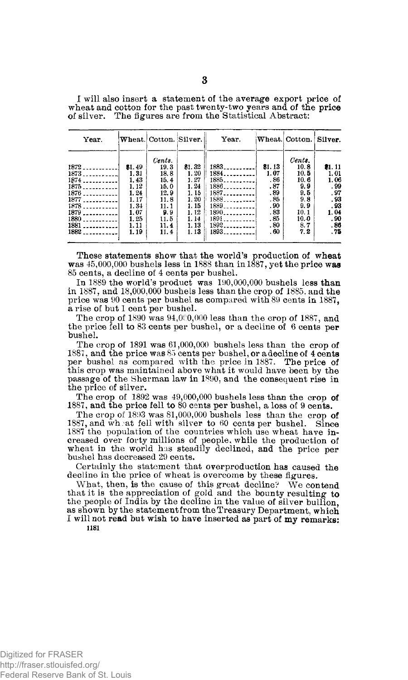I will also insert a statement of the average export price of wheat and cotton for the past twenty-two years and of the price of silver. The figures are from the Statistical Abstract:

| Year.                           |        | Wheat. Cotton. Silver. |        | Year.                             | Wheat. | Cotton. | Silver. |
|---------------------------------|--------|------------------------|--------|-----------------------------------|--------|---------|---------|
|                                 |        | Cents.                 |        |                                   |        | Cents.  |         |
| 1872                            | \$1.49 | 19.3                   | \$1.32 | 1883.<br><b>Contractor</b>        | 81.13  | 10.8    | 81, 11  |
| 1873                            | 1.31   | 18.8                   | 1.20   | 1884.<br><b>Contractor</b>        | 1.07   | 10.5    | 1.01    |
| $1874$                          | 1.43   | 15.4                   | 1.27   | 1885.<br>--------                 | . 86   | 10.6    | 1.06    |
| 1875                            | 1.12   | 15.0                   | 1.24   | 1886.<br>a de la guerra           | .87    | 9.9     | . 99    |
| 1876<br>.                       | 1.24   | 12.9                   | 1.15   | 1887.<br>.                        | .89    | 9.5     | . 97    |
| 1877                            | 1. 17  | 11.8                   | 1.20   | 1888.<br><b>Contract Contract</b> | .85    | 9.8     | . 93    |
|                                 | 1.34   | 11.1                   | 1.15   | 1889                              | .90    | 9.9     | . 93    |
| 1879                            | 1.07   | 9.9                    | 1.12   | $1890$                            | .83    | 10.1    | 1.04    |
| 1880<br>. . <b>.</b>            | 1.25   | 11.5                   | 1.14   | 1891                              | .85    | 10.0    | . 90    |
| 1881<br>$- - - - - - - - - - -$ | 1.11   | 11.4                   | 1.13   | 1892                              | .80    | 8.7     | .86     |
| $1882$                          | 1.19   | 11.4                   | 1.13   | 1893                              | .60    | 7.2     | . 75    |

These statements show that the world's production of wheat was  $45,000,000$  bushels less in 1888 than in 1887, yet the price was 85 cents, a decline of 4 cents per bushel.

In 1889 the world's product was 190,000,000 bushels less than in 1887, and 18,000,000 bushels less than the crop of 1885. and the price was 90 cents per bushel as compared with 89 cents in 1887, a rise of but 1 cent per bushel.

The crop of 1890 was  $94,000,000$  less than the crop of 1887, and the price fell to 83 cents per bushel, or a decline of 6 cents per bushel.

The crop of 1891 was 61,000,000 bushels less than the crop of 1887, and the price was 85 cents per bushel, or adecline of 4 cents per bushel as compared with the price in 1887. The price of this crop was maintained above what it would have been by the passage of the Sherman law in 1890, and the consequent rise in the price of silver.

The crop of  $1892$  was  $49,000,000$  bushels less than the crop of 1887, and the price fell to 80 cents per bushel, a loss of 9 cents.

The crop of 1893 was  $81,000,000$  bushels less than the crop of 1887, and wh; at fell with silver to 60 cents per bushel. Since 1887 the population of the countries which use wheat have increased over forty millions of people, while the production of wheat in the world has steadily declined, and the price per bushel has decreased 29 cents.

Certainly the statement that overproduction has caused the decline in the price of wheat is overcome by these figures.

What, then, is the cause of this great decline? We contend that it is the appreciation of gold and the bounty resulting to the people of India by the decline in the value of silver bullion, as shown by the statement from the Treasury Department, which I will not read but wish to have inserted as part of my remarks: **1181**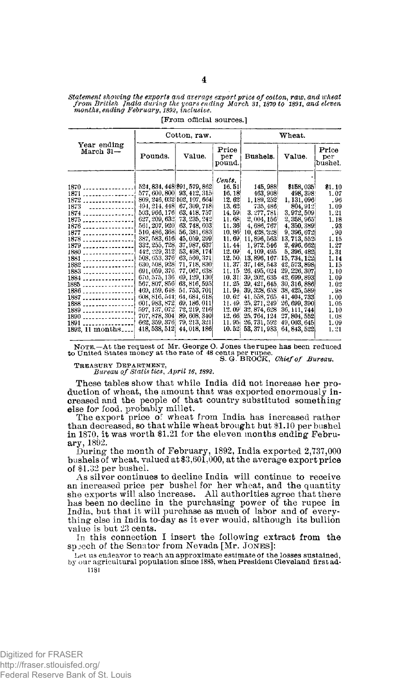| Statement showing the exports and average export price of cotton, raw, and wheat |  |
|----------------------------------------------------------------------------------|--|
| from British India during the years ending March 31, 1870 to 1891, and eleven    |  |
| months, ending February, 1892, inclusive.                                        |  |

|                                                                                                                                                                                                                                  | Cotton, raw.                                                                                                                                                                                                                                           |                                                                                                                                                                                                                                                                                                                                                                                                                                                                                          |                                                                                                                                                                                                                                                   | Wheat.                                                                                                                                                                                                                                                                                                                                                   |                                                                                                                                                                                                                                                                                                                                                          |                                                                                                                                                                                        |
|----------------------------------------------------------------------------------------------------------------------------------------------------------------------------------------------------------------------------------|--------------------------------------------------------------------------------------------------------------------------------------------------------------------------------------------------------------------------------------------------------|------------------------------------------------------------------------------------------------------------------------------------------------------------------------------------------------------------------------------------------------------------------------------------------------------------------------------------------------------------------------------------------------------------------------------------------------------------------------------------------|---------------------------------------------------------------------------------------------------------------------------------------------------------------------------------------------------------------------------------------------------|----------------------------------------------------------------------------------------------------------------------------------------------------------------------------------------------------------------------------------------------------------------------------------------------------------------------------------------------------------|----------------------------------------------------------------------------------------------------------------------------------------------------------------------------------------------------------------------------------------------------------------------------------------------------------------------------------------------------------|----------------------------------------------------------------------------------------------------------------------------------------------------------------------------------------|
| Year ending<br>$March 31 -$                                                                                                                                                                                                      | Pounds.                                                                                                                                                                                                                                                | Value.                                                                                                                                                                                                                                                                                                                                                                                                                                                                                   | Price<br>per<br>pound.                                                                                                                                                                                                                            | Bushels.                                                                                                                                                                                                                                                                                                                                                 | Value.                                                                                                                                                                                                                                                                                                                                                   | Price<br>per<br>bushel.                                                                                                                                                                |
| $1870$<br>1871<br>$1872$<br>$1873$ $1873$<br>$1874$<br>$1875$<br>1876<br>$1877$<br>1878<br>$1879$<br>1880<br>1881 1<br>$1882$<br>$1883$<br>$1884$<br>1885<br>$1886$<br>1887<br>1888<br>1889<br>1890<br>$1891$<br>1892, 11 months | 524, 834, 448 891, 579, 862<br>503, 966, 176<br>510, 486, 368<br>442, 229, 312<br>508, 653, 376<br>670, 575, 136<br>567, 807, 856<br>469, 459, 648<br>608, 816, 544;<br>601, 983, 872<br>597, 137, 072, 72, 219, 216<br>662, 359, 376<br>418, 538, 512 | 577, 600, 800 93, 412, 315<br>809, 246, 032 102, 107, 664<br>494, 214, 448 67, 309, 718<br>63, 418, 757<br>627, 209, 632 73, 235, 242<br>561, 207, 920 63, 748, 603<br>56, 381, 683<br>387, 583, 616 45, 059, 299<br>332, 255, 728 37, 987, 637<br>53, 498, 174<br>63, 560, 371<br>630, 508, 928 71, 718, 830<br>691, 059, 376, 77, 067, 638<br>69, 129, 130<br>63, 816, 595<br>51, 753, 701<br>64, 684, 618<br>69.186.011<br>707, 878, 304 89, 608, 340<br>79, 213, 321<br>44, 018, 186 | Cents.<br>16.51<br>16.18<br>12.62<br>13.62<br>14.59i<br>11.68i<br>11.36<br>10.86<br>11.69<br>11.44<br>12.09<br>12.50.<br>11.37<br>11.15.<br>10.31<br>11,25<br>11.94<br>$10.62^{\circ}$<br>11.49.<br>12.09<br>12.66<br>11.95 <sub>1</sub><br>10.52 | 145, 988<br>463.908<br>1, 189, 252<br>735, 486<br>3.277,781<br>2, 004, 156<br>4, 686, 767<br>10, 428, 328<br>11, 896, 563.<br>1, 972, 546<br>4, 109, 495<br>13, 896, 167<br>37, 148, 543<br>26, 495, 024<br>39, 202, 635<br>29, 421, 645<br>39, 328, 658<br>41, 558, 765<br>25, 271, 249<br>32, 874, 628<br>25, 764, 124<br>26, 731, 592<br>53, 371, 983 | \$158,035<br>498, 398<br>1, 131, 096<br>804, 912<br>3,972,509<br>2, 358, 965<br>4, 350, 389<br>9, 396, 672<br>13, 713, 552<br>2, 496, 662<br>5, 396, 482<br>15, 734, 122<br>42, 573, 898<br>29, 226, 307<br>42, 699, 893<br>30, 316, 886<br>38, 425, 589<br>41, 404, 733<br>26, 699, 390<br>36, 111, 744<br>27, 804, 552<br>49, 003, 645<br>64, 843, 522 | \$1.10<br>1.07<br>. 96<br>1.09<br>1.21<br>1.18<br>. 93<br>.90<br>1.15<br>1.27<br>1. 31<br>1.14<br>1.15<br>1.10<br>1.09<br>1.02<br>. 93<br>1.00<br>1.05<br>1.10<br>1.08<br>1.09<br>1.21 |

**[From official sources.]** 

**NOTE.—At the request of Mr. George O. Jones the rupee has been reduced to United States money at the rate of 48 cents per rupee. S. G. BROCK,** *Chief of Bureau.* 

**TREASURY DEPARTMENT,** 

*Bureau of Statis tics, April 16, 1892.* 

These tables show that while India did not increase her production of wheat, the amount that was exported enormously increased and the people of that country substituted something

else for food, probably millet.<br>The export price of wheat from India has increased rather than decreased, so that while wheat brought but  $\$1.10$  per bushel in 1870, it was worth \$1.21 for the eleven months ending February, 1892.

During the month of February, 1892, India exported  $2,737,000$ bushels of wheat, valued at  $$3,601,000$ , at the average export price of  $$1.32$  per bushel.

As silver continues to decline India will continue to receive an increased price per bushel for her wheat, and the quantity<br>she exports will also increase. All authorities agree that there has been no decline in the purchasing power of the rupee in<br>India, but that it will purchase as much of labor and of everything else in India to-day as it ever would, although its bullion value is but 23 cents.

In this connection I insert the following extract from the spech of the Senator from Nevada [Mr. JONES]:

**Let us endeavor to reach an approximate estimate of the losses sustained, by our agricultural population since 1885, when President Cleveland first ad-**1181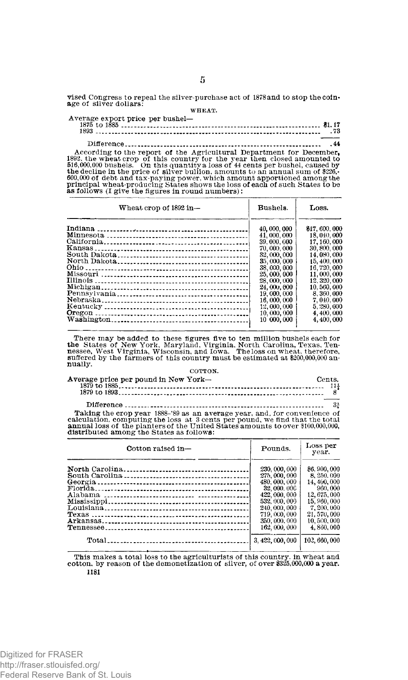**vised Congress to repeal the silver-purchase act of 1878 and to stop the coinage of silver dollars: WHEAT.** 

**Average export price per bushel—** 

| A procedure a contra company of the contract of the contract of the contract of the contract of the contract of |  |
|-----------------------------------------------------------------------------------------------------------------|--|

**Difference 44 According to the report of the Agricultural Department for December, 1892, the wheat crop of this country for the year then closed amounted to 516,000,000 bushels. On this quantity a loss of 44 cents per bushel, caused by the decline in the price of silver bullion, amounts to an annual sum of \$226,- 600,000 of debt and tax-paying power, which amount apportioned among the principal wheat-producing States shows the loss of each of such States to be as follows (I give the figures in round numbers):** 

| Wheat crop of 1892 in- | Bushels.                                   | Loss.                                        |
|------------------------|--------------------------------------------|----------------------------------------------|
|                        | 40,000,000<br>41, 000, 000<br>39, 000, 000 | \$17,600,000<br>18, 040, 000<br>17, 160, 000 |
|                        | 70,000,000<br>32,000,000                   | 30, 800, 000<br>14,080,000                   |
|                        | 35,000,000<br>38,000,000<br>25,000,000     | 15, 400, 000<br>16, 720, 000<br>11.000.000   |
|                        | 28,000,000<br>24,000,000<br>19,000,000     | 12, 320, 000<br>10, 560, 000<br>8, 360, 000  |
|                        | 16,000,000<br>12,000,000<br>10,000,000     | 7, 040, 000<br>5.280.000<br>4, 400, 000      |
|                        | 10 000,000                                 | 4,400,000                                    |

There may be added to these figures five to ten million bushels each for<br>the States of New York, Maryland, Virginia, North Carolina, Texas, Ten-<br>nessee, West Virginia, Wisconsin, and Iowa. Theloss on wheat, therefore, **suffered by the farmers of this country must be estimated at \$200,000,000 annually. COTTON.** 

| Average price per pound in New York- | Cents |  |
|--------------------------------------|-------|--|
|                                      |       |  |
|                                      |       |  |

Taking the crop year  $1888-89$  as an average year, and, for convenience of calculation, computing the loss at 3 cents per pound, we find that the total annual loss of the planters of the United States amounts to over  $$10$ 

| Cotton raised in- | Pounds.          | Loss per<br>vear. |
|-------------------|------------------|-------------------|
|                   | 230, 000, 000    | \$6,900,000       |
|                   | 275, 000, 000    | 8.250,000         |
|                   | 480, 000, 000    | 14, 400, 000      |
|                   | 32,000,000       | 960.000           |
|                   | 422, 000, 000    | 12,675,000        |
|                   | 532, 000, 000    | 15,960,000        |
|                   | 240, 000, 000    | 7, 200, 000       |
|                   | 719, 000, 000    | 21.570,000        |
|                   | 350, 000, 000    | 10.500,000        |
|                   | 162, 000, 000    | 4.860.000         |
|                   | 3, 422, 000, 000 | 102, 660, 000     |
|                   |                  |                   |

**This makes a total loss to the agriculturists of this country, in wheat and cotton, by reason of the demonetization of silver, of over \$325,000,000 a year. 1181**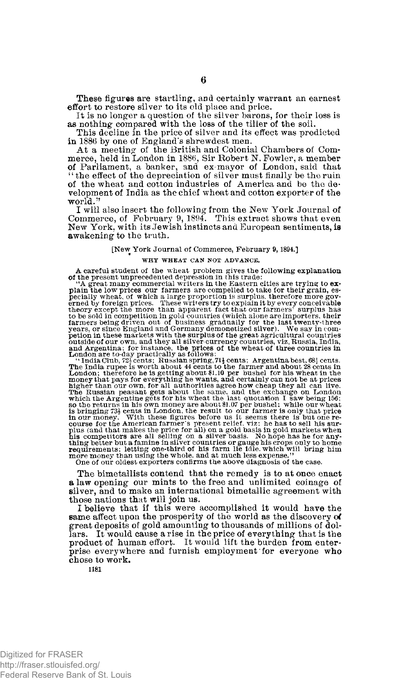These figures are startling, and certainly warrant an earnest effort to restore silver to its old place and price.

It is no longer a question of the silver barons, for their loss is as nothing compared with the loss of the tiller of the soil.

This decline in the price of silver and its effect was predicted in 1886 by one of England's shrewdest men.

At a meeting of the British and Colonial Chambers of Commerce, held in London in 1886, Sir Robert N. Fowler, a member of Parliament, a banker, and ex-mayor of London, said that "the effect of the depreciation of silver mus of the wheat and cotton industries of America and be the development of India as the chief wheat and cotton exporter of the world. "

I will also insert the following from the New York Journal of Commerce, of February 9, 1894. This extract shows that even New York, with its Jewish instincts and European sentiments, is **a**wakening to the truth.

#### **[New York Journal of Commerce, February 9,1894.]**

#### **WHY WHEAT CAN NOT ADVANCE.**

A careful student of the wheat problem gives the following explanation<br>of the present unprecedented depression in this trade:<br>"A great many commercial writers in the Eastern cities are trying to ex-<br>plain the low prices o

petion in these markets with the surplus of the great agricultural countries<br>original of our own, and they all sliver-currency countries and Argentina; for instance, the prices of the wheat of three countries in<br>and Argent more money than using the whole, and at much less expense."<br>One of our oldest exporters confirms the above diagnosis of the case

The bimetallists contend that the remedy is to at once enact a law opening our mints to the free and unlimited coinage of silver, and to make an international bimetallic agreement with those nations that will join us.

I believe that if this were accomplished it would have the same affect upon the prosperity of the world as the discovery of great deposits of gold amounting to thousands of millions of dollars. It would cause a rise in the price of everything that is the product of human effort. It would lift the burden from enterprise everywhere and furnish employment for everyone who chose to work.

**1181**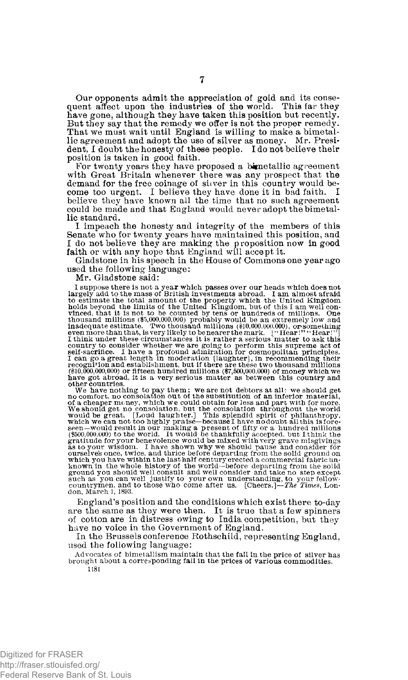Our opponents admit the appreciation of gold and its consequent affect upon the industries of the world. This far they have gone, although they have taken this position but recently. But they say that the remedy we offer is not the proper remedy. That we must wait until England is willing to make a bimetal-<br>lic agreement and adopt the use of silver as money. Mr. President, I doubt the honesty of these people. I do not believe their position is taken in good faith.

For twenty years they have proposed a bimetallic agreement with Great Britain whenever there was any prospect that the demand for the free coinage of sitver in this country would become too urgent. I believe they have done it in bad faith. I believe they have known all the time that no such agreement could be made and that England would never adopt the bimetallic standard.

I impeach the honesty and integrity of the members of this Senate who for twenty years have maintained this position, and I do not believe they are making the proposition now in good faith or with any hope that England will accept it.

Gladstone in his speech in the House of Commons one year ago used the following language:

Mr. Gladstone said:

I suppose there is not a year which passes over our heads which does not<br>largely add to the mass of British investments abroad. I am almost a<br>fraid to estimate the total amount of the property which the United Kingdom<br>hol

and other countries.<br>
We have nother countries.<br>
We have not deliver as sometimes that countries.<br>
We have not destroid and part with the consolation of an inferior material,<br>
We should get no consolation, but the consolat known in the whole history of the world—before departing from the solid<br>ground you should well consult and well consider and take no step except<br>such as you can well justify to your own understanding, to your fellow-<br>coun **don, March 1, 1893.** 

England's position and the conditions which exist there to-day are the same as they were then. It is true that a few spinners of cotton are in distress owing to India competition, but they have no voice in the Government of England.

In the Brussels conference Rothschild, representing England, used the following language:

**Advocates of bimetallism maintain that the fall in the price of silver has brought about a corresponding fall in the prices of various commodities.**  1181